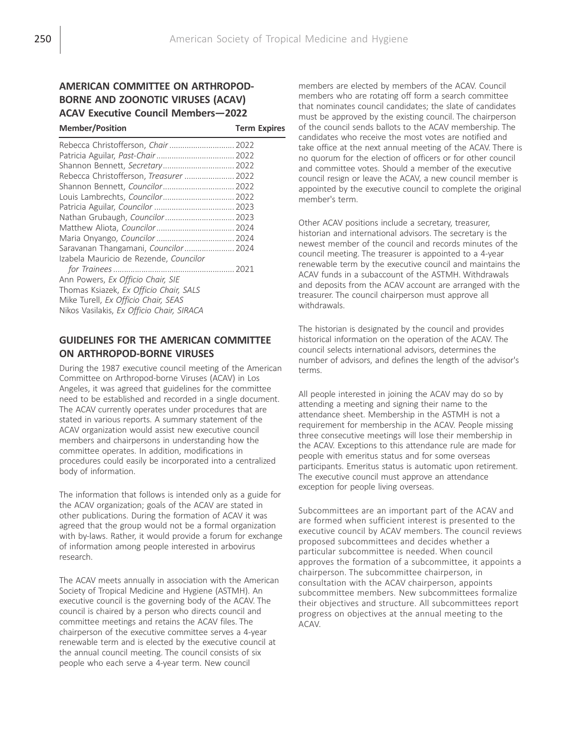# AMERICAN COMMITTEE ON ARTHROPOD-BORNE AND ZOONOTIC VIRUSES (ACAV) ACAV Executive Council Members—2022

| <b>Member/Position</b>                    | <b>Term Expires</b> |
|-------------------------------------------|---------------------|
| Rebecca Christofferson, Chair  2022       |                     |
|                                           |                     |
| Shannon Bennett, Secretary 2022           |                     |
| Rebecca Christofferson, Treasurer  2022   |                     |
|                                           |                     |
| Louis Lambrechts, Councilor 2022          |                     |
|                                           |                     |
| Nathan Grubaugh, Councilor 2023           |                     |
|                                           |                     |
|                                           |                     |
| Saravanan Thangamani, Councilor 2024      |                     |
| Izabela Mauricio de Rezende, Councilor    |                     |
|                                           |                     |
| Ann Powers, Ex Officio Chair, SIE         |                     |
| Thomas Ksiazek, Ex Officio Chair, SALS    |                     |
| Mike Turell, Ex Officio Chair, SEAS       |                     |
| Nikos Vasilakis, Ex Officio Chair, SIRACA |                     |

## GUIDELINES FOR THE AMERICAN COMMITTEE ON ARTHROPOD-BORNE VIRUSES

During the 1987 executive council meeting of the American Committee on Arthropod-borne Viruses (ACAV) in Los Angeles, it was agreed that guidelines for the committee need to be established and recorded in a single document. The ACAV currently operates under procedures that are stated in various reports. A summary statement of the ACAV organization would assist new executive council members and chairpersons in understanding how the committee operates. In addition, modifications in procedures could easily be incorporated into a centralized body of information.

The information that follows is intended only as a guide for the ACAV organization; goals of the ACAV are stated in other publications. During the formation of ACAV it was agreed that the group would not be a formal organization with by-laws. Rather, it would provide a forum for exchange of information among people interested in arbovirus research.

The ACAV meets annually in association with the American Society of Tropical Medicine and Hygiene (ASTMH). An executive council is the governing body of the ACAV. The council is chaired by a person who directs council and committee meetings and retains the ACAV files. The chairperson of the executive committee serves a 4-year renewable term and is elected by the executive council at the annual council meeting. The council consists of six people who each serve a 4-year term. New council

members are elected by members of the ACAV. Council members who are rotating off form a search committee that nominates council candidates; the slate of candidates must be approved by the existing council. The chairperson of the council sends ballots to the ACAV membership. The candidates who receive the most votes are notified and take office at the next annual meeting of the ACAV. There is no quorum for the election of officers or for other council and committee votes. Should a member of the executive council resign or leave the ACAV, a new council member is appointed by the executive council to complete the original member's term.

Other ACAV positions include a secretary, treasurer, historian and international advisors. The secretary is the newest member of the council and records minutes of the council meeting. The treasurer is appointed to a 4-year renewable term by the executive council and maintains the ACAV funds in a subaccount of the ASTMH. Withdrawals and deposits from the ACAV account are arranged with the treasurer. The council chairperson must approve all withdrawals.

The historian is designated by the council and provides historical information on the operation of the ACAV. The council selects international advisors, determines the number of advisors, and defines the length of the advisor's terms.

All people interested in joining the ACAV may do so by attending a meeting and signing their name to the attendance sheet. Membership in the ASTMH is not a requirement for membership in the ACAV. People missing three consecutive meetings will lose their membership in the ACAV. Exceptions to this attendance rule are made for people with emeritus status and for some overseas participants. Emeritus status is automatic upon retirement. The executive council must approve an attendance exception for people living overseas.

Subcommittees are an important part of the ACAV and are formed when sufficient interest is presented to the executive council by ACAV members. The council reviews proposed subcommittees and decides whether a particular subcommittee is needed. When council approves the formation of a subcommittee, it appoints a chairperson. The subcommittee chairperson, in consultation with the ACAV chairperson, appoints subcommittee members. New subcommittees formalize their objectives and structure. All subcommittees report progress on objectives at the annual meeting to the ACAV.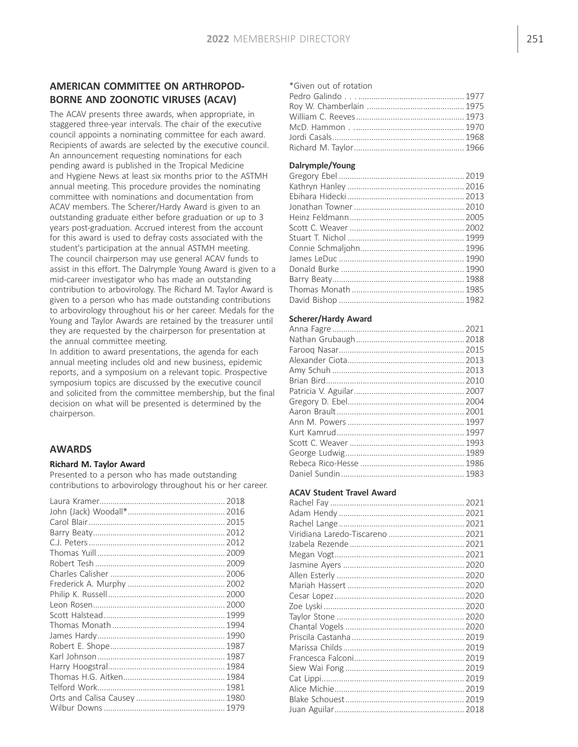## AMERICAN COMMITTEE ON ARTHROPOD-BORNE AND ZOONOTIC VIRUSES (ACAV)

The ACAV presents three awards, when appropriate, in staggered three-year intervals. The chair of the executive council appoints a nominating committee for each award. Recipients of awards are selected by the executive council. An announcement requesting nominations for each pending award is published in the Tropical Medicine and Hygiene News at least six months prior to the ASTMH annual meeting. This procedure provides the nominating committee with nominations and documentation from ACAV members. The Scherer/Hardy Award is given to an outstanding graduate either before graduation or up to 3 years post-graduation. Accrued interest from the account for this award is used to defray costs associated with the student's participation at the annual ASTMH meeting. The council chairperson may use general ACAV funds to assist in this effort. The Dalrymple Young Award is given to a mid-career investigator who has made an outstanding contribution to arbovirology. The Richard M. Taylor Award is given to a person who has made outstanding contributions to arbovirology throughout his or her career. Medals for the Young and Taylor Awards are retained by the treasurer until they are requested by the chairperson for presentation at the annual committee meeting.

In addition to award presentations, the agenda for each annual meeting includes old and new business, epidemic reports, and a symposium on a relevant topic. Prospective symposium topics are discussed by the executive council and solicited from the committee membership, but the final decision on what will be presented is determined by the chairperson.

### AWARDS

#### Richard M. Taylor Award

Presented to a person who has made outstanding contributions to arbovirology throughout his or her career.

### \*Given out of rotation Pedro Galindo . . . ................................................. 1977 Roy W. Chamberlain ............................................. 1975 William C. Reeves.................................................. 1973 McD. Hammon . ................................................... 1970 Jordi Casals............................................................. 1968 Richard M. Taylor................................................... 1966

### Dalrymple/Young

#### Scherer/Hardy Award

#### ACAV Student Travel Award